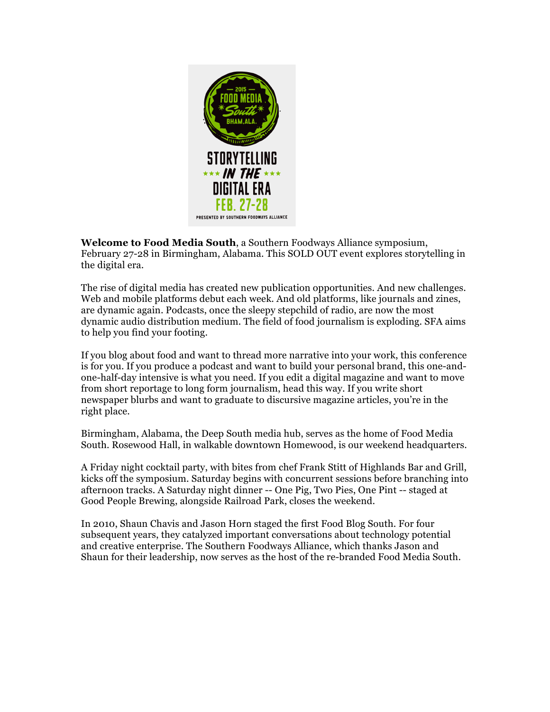

**Welcome to Food Media South**, a Southern Foodways Alliance symposium, February 27-28 in Birmingham, Alabama. This SOLD OUT event explores storytelling in the digital era.

The rise of digital media has created new publication opportunities. And new challenges. Web and mobile platforms debut each week. And old platforms, like journals and zines, are dynamic again. Podcasts, once the sleepy stepchild of radio, are now the most dynamic audio distribution medium. The field of food journalism is exploding. SFA aims to help you find your footing.

If you blog about food and want to thread more narrative into your work, this conference is for you. If you produce a podcast and want to build your personal brand, this one-andone-half-day intensive is what you need. If you edit a digital magazine and want to move from short reportage to long form journalism, head this way. If you write short newspaper blurbs and want to graduate to discursive magazine articles, you're in the right place.

Birmingham, Alabama, the Deep South media hub, serves as the home of Food Media South. Rosewood Hall, in walkable downtown Homewood, is our weekend headquarters.

A Friday night cocktail party, with bites from chef Frank Stitt of Highlands Bar and Grill, kicks off the symposium. Saturday begins with concurrent sessions before branching into afternoon tracks. A Saturday night dinner -- One Pig, Two Pies, One Pint -- staged at Good People Brewing, alongside Railroad Park, closes the weekend.

In 2010, Shaun Chavis and Jason Horn staged the first Food Blog South. For four subsequent years, they catalyzed important conversations about technology potential and creative enterprise. The Southern Foodways Alliance, which thanks Jason and Shaun for their leadership, now serves as the host of the re-branded Food Media South.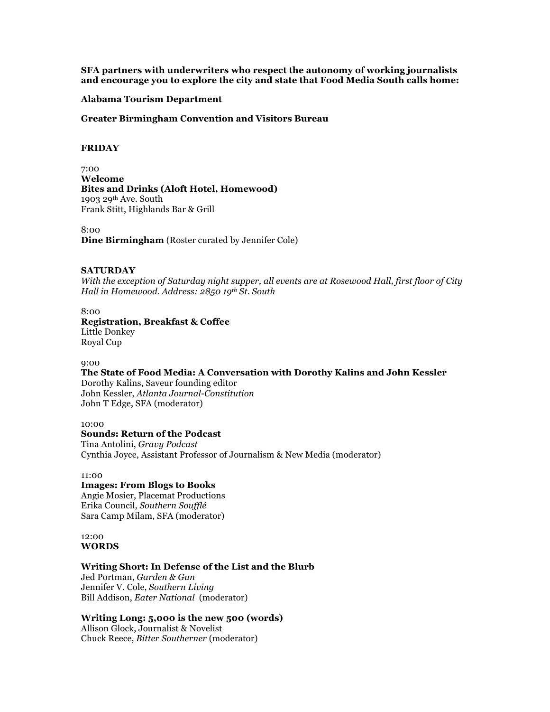**SFA partners with underwriters who respect the autonomy of working journalists and encourage you to explore the city and state that Food Media South calls home:**

# **Alabama Tourism Department**

**Greater Birmingham Convention and Visitors Bureau** 

### **FRIDAY**

7:00 **Welcome Bites and Drinks (Aloft Hotel, Homewood)** 1903 29<sup>th</sup> Ave. South Frank Stitt, Highlands Bar & Grill

8:00 **Dine Birmingham** (Roster curated by Jennifer Cole)

### **SATURDAY**

*With the exception of Saturday night supper, all events are at Rosewood Hall, first floor of City Hall in Homewood. Address: 2850 19th St. South*

# 8:00 **Registration, Breakfast & Coffee** Little Donkey Royal Cup

#### 9:00

**The State of Food Media: A Conversation with Dorothy Kalins and John Kessler**

Dorothy Kalins, Saveur founding editor John Kessler, *Atlanta Journal-Constitution* John T Edge, SFA (moderator)

### 10:00

#### **Sounds: Return of the Podcast**

Tina Antolini, *Gravy Podcast* Cynthia Joyce, Assistant Professor of Journalism & New Media (moderator)

# 11:00

# **Images: From Blogs to Books**

Angie Mosier, Placemat Productions Erika Council, *Southern Soufflé* Sara Camp Milam, SFA (moderator)

### 12:00 **WORDS**

# **Writing Short: In Defense of the List and the Blurb**

Jed Portman, *Garden & Gun* Jennifer V. Cole, *Southern Living* Bill Addison, *Eater National* (moderator)

# **Writing Long: 5,000 is the new 500 (words)**

Allison Glock, Journalist & Novelist Chuck Reece, *Bitter Southerner* (moderator)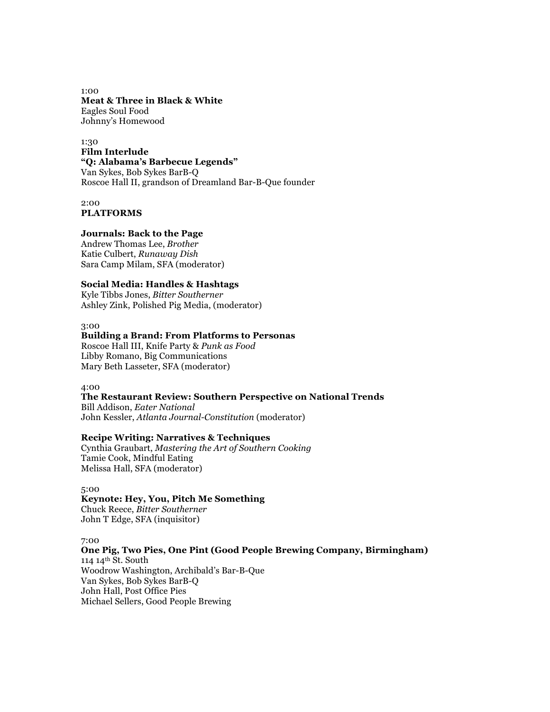1:00 **Meat & Three in Black & White** Eagles Soul Food Johnny's Homewood

1:30 **Film Interlude "Q: Alabama's Barbecue Legends"**  Van Sykes, Bob Sykes BarB-Q Roscoe Hall II, grandson of Dreamland Bar-B-Que founder

2:00 **PLATFORMS**

### **Journals: Back to the Page**

Andrew Thomas Lee, *Brother* Katie Culbert, *Runaway Dish* Sara Camp Milam, SFA (moderator)

# **Social Media: Handles & Hashtags**

Kyle Tibbs Jones, *Bitter Southerner* Ashley Zink, Polished Pig Media, (moderator)

# 3:00

# **Building a Brand: From Platforms to Personas**

Roscoe Hall III, Knife Party & *Punk as Food* Libby Romano, Big Communications Mary Beth Lasseter, SFA (moderator)

4:00

## **The Restaurant Review: Southern Perspective on National Trends**

Bill Addison, *Eater National* John Kessler, *Atlanta Journal-Constitution* (moderator)

# **Recipe Writing: Narratives & Techniques**

Cynthia Graubart, *Mastering the Art of Southern Cooking* Tamie Cook, Mindful Eating Melissa Hall, SFA (moderator)

5:00

# **Keynote: Hey, You, Pitch Me Something**

Chuck Reece, *Bitter Southerner* John T Edge, SFA (inquisitor)

7:00

**One Pig, Two Pies, One Pint (Good People Brewing Company, Birmingham)** 114 14th St. South Woodrow Washington, Archibald's Bar-B-Que Van Sykes, Bob Sykes BarB-Q John Hall, Post Office Pies Michael Sellers, Good People Brewing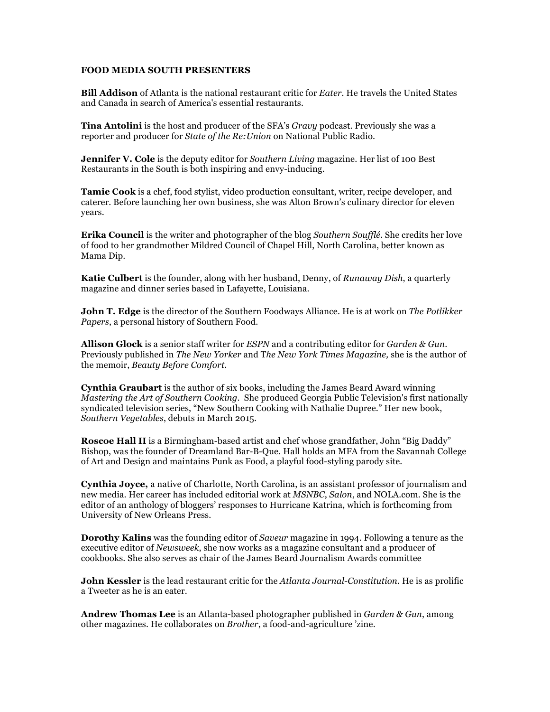# **FOOD MEDIA SOUTH PRESENTERS**

**Bill Addison** of Atlanta is the national restaurant critic for *Eater*. He travels the United States and Canada in search of America's essential restaurants.

**Tina Antolini** is the host and producer of the SFA's *Gravy* podcast. Previously she was a reporter and producer for *State of the Re:Union* on National Public Radio.

**Jennifer V. Cole** is the deputy editor for *Southern Living* magazine. Her list of 100 Best Restaurants in the South is both inspiring and envy-inducing.

**Tamie Cook** is a chef, food stylist, video production consultant, writer, recipe developer, and caterer. Before launching her own business, she was Alton Brown's culinary director for eleven years.

**Erika Council** is the writer and photographer of the blog *Southern Soufflé*. She credits her love of food to her grandmother Mildred Council of Chapel Hill, North Carolina, better known as Mama Dip.

**Katie Culbert** is the founder, along with her husband, Denny, of *Runaway Dish*, a quarterly magazine and dinner series based in Lafayette, Louisiana.

**John T. Edge** is the director of the Southern Foodways Alliance. He is at work on *The Potlikker Papers*, a personal history of Southern Food.

**Allison Glock** is a senior staff writer for *ESPN* and a contributing editor for *Garden & Gun*. Previously published in *The New Yorker* and T*he New York Times Magazine,* she is the author of the memoir, *Beauty Before Comfort.*

**Cynthia Graubart** is the author of six books, including the James Beard Award winning *Mastering the Art of Southern Cooking*. She produced Georgia Public Television's first nationally syndicated television series, "New Southern Cooking with Nathalie Dupree." Her new book, *Southern Vegetables*, debuts in March 2015.

**Roscoe Hall II** is a Birmingham-based artist and chef whose grandfather, John "Big Daddy" Bishop, was the founder of Dreamland Bar-B-Que. Hall holds an MFA from the Savannah College of Art and Design and maintains Punk as Food, a playful food-styling parody site.

**Cynthia Joyce,** a native of Charlotte, North Carolina, is an assistant professor of journalism and new media. Her career has included editorial work at *MSNBC*, *Salon*, and NOLA.com. She is the editor of an anthology of bloggers' responses to Hurricane Katrina, which is forthcoming from University of New Orleans Press.

**Dorothy Kalins** was the founding editor of *Saveur* magazine in 1994. Following a tenure as the executive editor of *Newsweek*, she now works as a magazine consultant and a producer of cookbooks. She also serves as chair of the James Beard Journalism Awards committee

**John Kessler** is the lead restaurant critic for the *Atlanta Journal-Constitution*. He is as prolific a Tweeter as he is an eater.

**Andrew Thomas Lee** is an Atlanta-based photographer published in *Garden & Gun*, among other magazines. He collaborates on *Brother*, a food-and-agriculture 'zine.